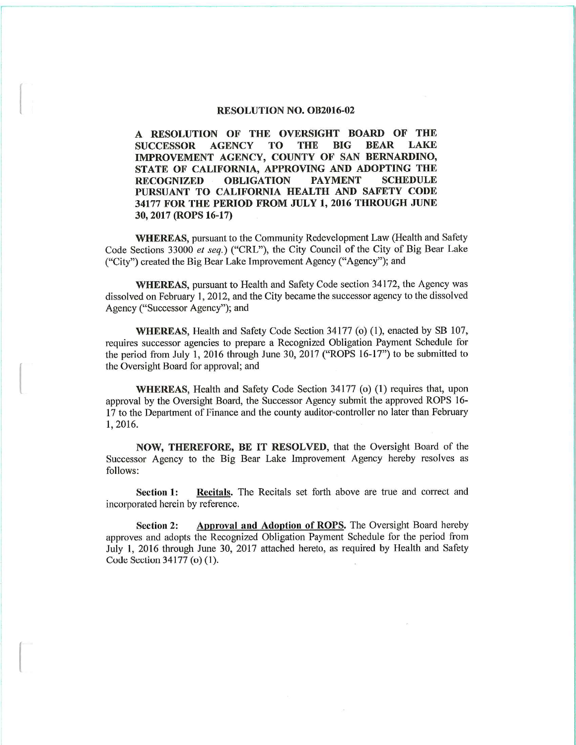## **RESOLUTION NO. OB2016-02**

A RESOLUTION OF THE OVERSIGHT BOARD OF THE **AGENCY TO THE BIG BEAR LAKE SUCCESSOR** IMPROVEMENT AGENCY, COUNTY OF SAN BERNARDINO, STATE OF CALIFORNIA, APPROVING AND ADOPTING THE **RECOGNIZED OBLIGATION PAYMENT SCHEDULE** PURSUANT TO CALIFORNIA HEALTH AND SAFETY CODE 34177 FOR THE PERIOD FROM JULY 1, 2016 THROUGH JUNE 30, 2017 (ROPS 16-17)

**WHEREAS, pursuant to the Community Redevelopment Law (Health and Safety** Code Sections 33000 et seq.) ("CRL"), the City Council of the City of Big Bear Lake ("City") created the Big Bear Lake Improvement Agency ("Agency"); and

WHEREAS, pursuant to Health and Safety Code section 34172, the Agency was dissolved on February 1, 2012, and the City became the successor agency to the dissolved Agency ("Successor Agency"); and

WHEREAS, Health and Safety Code Section 34177 (o) (1), enacted by SB 107, requires successor agencies to prepare a Recognized Obligation Payment Schedule for the period from July 1, 2016 through June 30, 2017 ("ROPS 16-17") to be submitted to the Oversight Board for approval; and

**WHEREAS, Health and Safety Code Section 34177 (o) (1) requires that, upon** approval by the Oversight Board, the Successor Agency submit the approved ROPS 16-17 to the Department of Finance and the county auditor-controller no later than February 1,2016.

NOW, THEREFORE, BE IT RESOLVED, that the Oversight Board of the Successor Agency to the Big Bear Lake Improvement Agency hereby resolves as follows:

Recitals. The Recitals set forth above are true and correct and Section 1: incorporated herein by reference.

**Section 2:** Approval and Adoption of ROPS. The Oversight Board hereby approves and adopts the Recognized Obligation Payment Schedule for the period from July 1, 2016 through June 30, 2017 attached hereto, as required by Health and Safety Code Section 34177 (o) (1).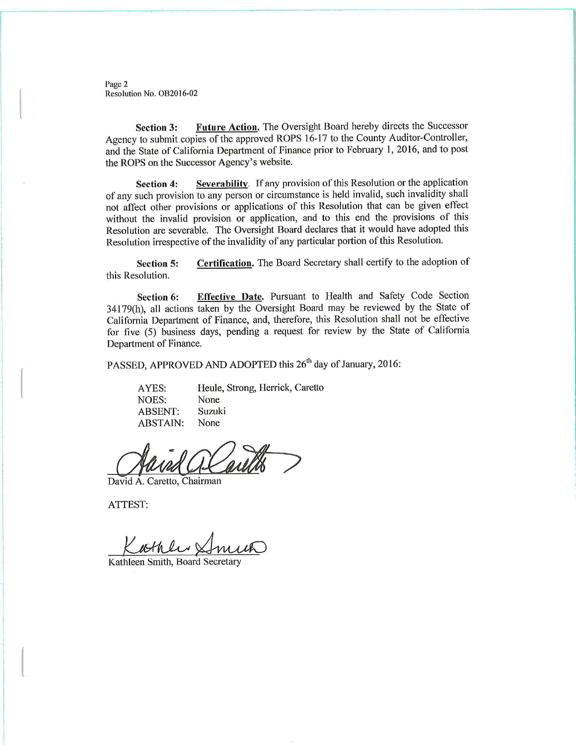Page 2 Resolution No. OB2016-02

Future Action. The Oversight Board hereby directs the Successor **Section 3:** Agency to submit copies of the approved ROPS 16-17 to the County Auditor-Controller, and the State of California Department of Finance prior to February 1, 2016, and to post the ROPS on the Successor Agency's website.

Severability. If any provision of this Resolution or the application **Section 4:** of any such provision to any person or circumstance is held invalid, such invalidity shall not affect other provisions or applications of this Resolution that can be given effect without the invalid provision or application, and to this end the provisions of this Resolution are severable. The Oversight Board declares that it would have adopted this Resolution irrespective of the invalidity of any particular portion of this Resolution.

Certification. The Board Secretary shall certify to the adoption of **Section 5:** this Resolution.

Effective Date. Pursuant to Health and Safety Code Section Section 6: 34179(h), all actions taken by the Oversight Board may be reviewed by the State of California Department of Finance, and, therefore, this Resolution shall not be effective for five (5) business days, pending a request for review by the State of California Department of Finance.

PASSED, APPROVED AND ADOPTED this 26<sup>th</sup> day of January, 2016:

AYES: Heule, Strong, Herrick, Caretto **NOES:** None Suzuki **ABSENT: ABSTAIN:** None

David A. Caretto, Chairman

ATTEST:

Kathler &

Kathleen Smith, Board Secretary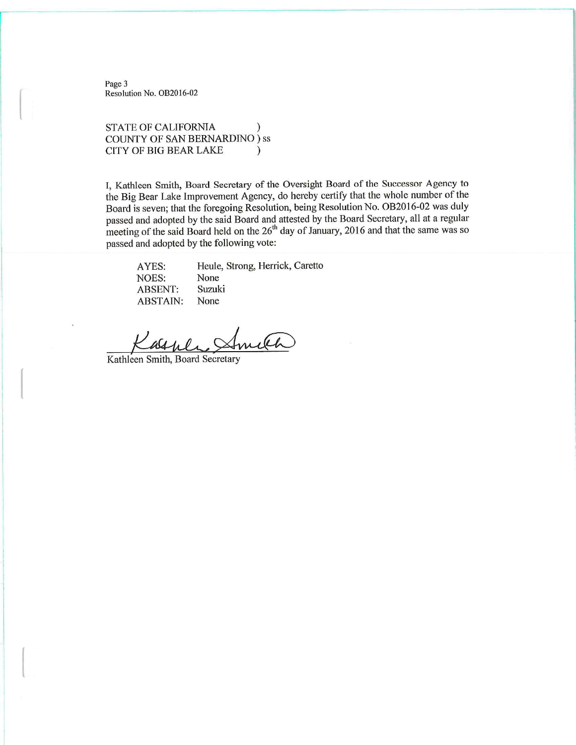Page 3 Resolution No. OB2016-02

## **STATE OF CALIFORNIA**  $\lambda$ **COUNTY OF SAN BERNARDINO** ) ss **CITY OF BIG BEAR LAKE**  $\mathcal{L}$

I, Kathleen Smith, Board Secretary of the Oversight Board of the Successor Agency to the Big Bear Lake Improvement Agency, do hereby certify that the whole number of the Board is seven; that the foregoing Resolution, being Resolution No. OB2016-02 was duly passed and adopted by the said Board and attested by the Board Secretary, all at a regular meeting of the said Board held on the 26<sup>th</sup> day of January, 2016 and that the same was so passed and adopted by the following vote:

Heule, Strong, Herrick, Caretto AYES: None **NOES: ABSENT:** Suzuki **ABSTAIN:** None

Kathleen Smith, Board Secretary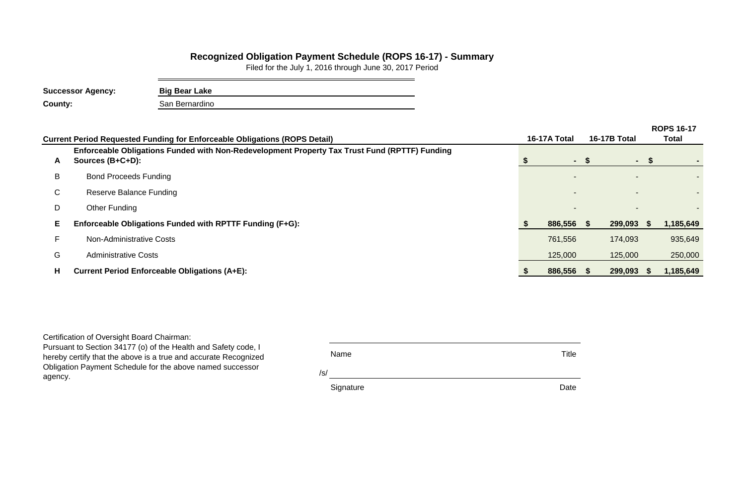|         |               |                           | <b>ROPS 16-17</b> |  |  |  |  |  |
|---------|---------------|---------------------------|-------------------|--|--|--|--|--|
| A Total | 16-17B Total  | <b>Total</b>              |                   |  |  |  |  |  |
|         |               |                           |                   |  |  |  |  |  |
|         | \$            | \$                        |                   |  |  |  |  |  |
|         |               |                           |                   |  |  |  |  |  |
|         |               |                           |                   |  |  |  |  |  |
|         |               |                           |                   |  |  |  |  |  |
| 886,556 | \$<br>299,093 | $\boldsymbol{\mathsf{s}}$ | 1,185,649         |  |  |  |  |  |
| 761,556 | 174,093       |                           | 935,649           |  |  |  |  |  |
| 125,000 | 125,000       |                           | 250,000           |  |  |  |  |  |
| 886,556 | \$<br>299,093 | $\boldsymbol{\$}$         | 1,185,649         |  |  |  |  |  |

/s/

Signature Date **Date** 

|    | <b>Current Period Requested Funding for Enforceable Obligations (ROPS Detail)</b>                                 | 16-17A Total |      | <b>16-17B Total</b> |      | <b>Total</b> |
|----|-------------------------------------------------------------------------------------------------------------------|--------------|------|---------------------|------|--------------|
| A  | Enforceable Obligations Funded with Non-Redevelopment Property Tax Trust Fund (RPTTF) Funding<br>Sources (B+C+D): | $\sim$       | -SS- | $\sim$              | J.   |              |
| B  | <b>Bond Proceeds Funding</b>                                                                                      |              |      |                     |      |              |
| C. | <b>Reserve Balance Funding</b>                                                                                    |              |      |                     |      |              |
| D  | Other Funding                                                                                                     |              |      |                     |      |              |
| E. | Enforceable Obligations Funded with RPTTF Funding (F+G):                                                          | 886,556      | - \$ | 299,093             | - 35 | 1,185,649    |
|    | <b>Non-Administrative Costs</b>                                                                                   | 761,556      |      | 174,093             |      | 935,649      |
| G  | <b>Administrative Costs</b>                                                                                       | 125,000      |      | 125,000             |      | 250,000      |
| H  | <b>Current Period Enforceable Obligations (A+E):</b>                                                              | 886,556      | - S  | 299,093             | - 55 | 1,185,649    |
|    |                                                                                                                   |              |      |                     |      |              |

## **Recognized Obligation Payment Schedule (ROPS 16-17) - Summary**

Filed for the July 1, 2016 through June 30, 2017 Period

| <b>Successor Agency:</b> | <b>Big Bear Lake</b> |
|--------------------------|----------------------|
| <b>County:</b>           | San Bernardino       |

Certification of Oversight Board Chairman:

Pursuant to Section 34177 (o) of the Health and Safety code, I hereby certify that the above is a true and accurate Recognized Obligation Payment Schedule for the above named successor agency.

Name Title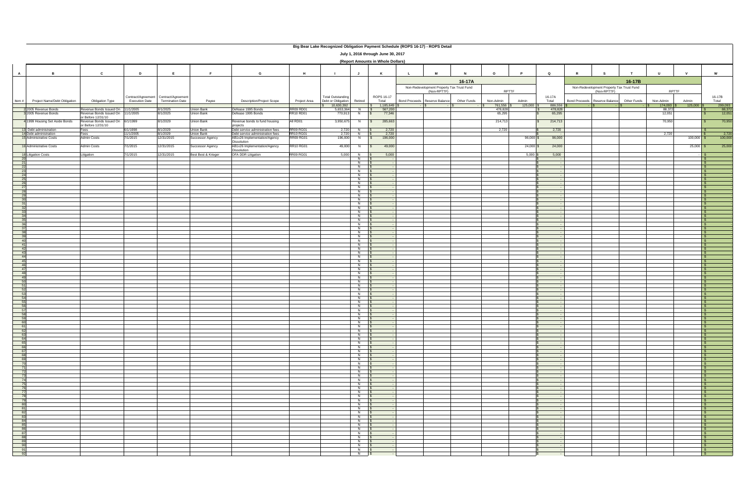|                                                                     |                                                   |                                                        |                       |                                       |                                |                                                                  |                               |                                     |                                  |                                   | Big Bear Lake Recognized Obligation Payment Schedule (ROPS 16-17) - ROPS Detail |             |                      |                  |                  |   |                                                          |                                     |                  |                                          |
|---------------------------------------------------------------------|---------------------------------------------------|--------------------------------------------------------|-----------------------|---------------------------------------|--------------------------------|------------------------------------------------------------------|-------------------------------|-------------------------------------|----------------------------------|-----------------------------------|---------------------------------------------------------------------------------|-------------|----------------------|------------------|------------------|---|----------------------------------------------------------|-------------------------------------|------------------|------------------------------------------|
| July 1, 2016 through June 30, 2017                                  |                                                   |                                                        |                       |                                       |                                |                                                                  |                               |                                     |                                  |                                   |                                                                                 |             |                      |                  |                  |   |                                                          |                                     |                  |                                          |
|                                                                     |                                                   |                                                        |                       |                                       |                                |                                                                  |                               |                                     |                                  | (Report Amounts in Whole Dollars) |                                                                                 |             |                      |                  |                  |   |                                                          |                                     |                  |                                          |
|                                                                     |                                                   |                                                        |                       |                                       |                                |                                                                  |                               |                                     |                                  |                                   |                                                                                 |             |                      |                  |                  |   |                                                          |                                     |                  |                                          |
| $\mathbf{A}$                                                        | В.                                                | $\mathbf{c}$                                           | D                     | E                                     | Е                              | G                                                                | H                             |                                     | $\mathbf{J}$                     | K                                 | M<br>- 1                                                                        |             | $\Omega$             |                  | Q                | R | s                                                        | U                                   | $\mathbf{v}$     | W                                        |
|                                                                     |                                                   |                                                        |                       |                                       |                                |                                                                  |                               |                                     |                                  |                                   |                                                                                 | 16-17A      |                      |                  |                  |   |                                                          | 16-17B                              |                  |                                          |
|                                                                     |                                                   |                                                        |                       |                                       |                                |                                                                  |                               |                                     |                                  |                                   | Non-Redevelopment Property Tax Trust Fund<br>(Non-RPTTF)                        |             | <b>RPTTF</b>         |                  |                  |   | Non-Redevelopment Property Tax Trust Fund<br>(Non-RPTTF) |                                     | <b>RPTTF</b>     |                                          |
|                                                                     |                                                   |                                                        |                       | Contract/Agreement Contract/Agreement |                                |                                                                  |                               | <b>Total Outstanding</b>            |                                  | ROPS 16-17                        |                                                                                 |             |                      |                  | 16-17A           |   |                                                          |                                     |                  | 16-17B                                   |
| Item#                                                               | Project Name/Debt Obligation                      | Obligation Type                                        | <b>Execution Date</b> | <b>Termination Date</b>               | Payee                          | <b>Description/Project Scope</b>                                 | Project Area                  | Debt or Obligation<br>\$ 10,630,392 | Retired                          | Total<br>1,185,649<br>S.          | Bond Proceeds Reserve Balance                                                   | Other Funds | Non-Admin<br>761,556 | Admin<br>125,000 | Total<br>886,556 |   | Bond Proceeds Reserve Balance                            | Other Funds<br>Non-Admin<br>174,093 | Admin<br>125,000 | Total<br>299,093                         |
|                                                                     | 2 2005 Revenue Bonds                              | Revenue Bonds Issued On                                | 11/1/2005             | 8/1/2025                              | Union Bank                     | Defease 1995 Bonds                                               | <b>RR09 RD01</b>              | 5.653.364                           | $N$ $\sqrt{S}$                   | 567,200                           |                                                                                 |             | 478.828              |                  | 478,828          |   |                                                          | 88.372                              |                  | $\frac{88,372}{12,051}$                  |
|                                                                     | 3 2005 Revenue Bonds                              | Revenue Bonds Issued On<br>or Before 12/31/10          | 11/1/2005             | 8/1/2025                              | Union Bank                     | Defease 1995 Bonds                                               | <b>RR10 RD01</b>              | 770,913                             | N                                | 77,346                            |                                                                                 |             | 65,295               |                  | 65,295           |   |                                                          | 12,051                              |                  |                                          |
|                                                                     | 4 1999 Housing Set Aside Bonds                    | Revenue Bonds Issued On 6/1/1999<br>or Before 12/31/10 |                       | 8/1/2029                              | <b>Union Bank</b>              | Revenue bonds to fund housing<br>projects                        | All RD01                      | 3,950,675                           | N                                | 285,663<br>S.                     |                                                                                 |             | 214,713              |                  | 214,713          |   |                                                          | 70,950                              |                  | 70,950                                   |
|                                                                     | 13 Debt administration                            | Fees                                                   | 6/1/1998              | 8/1/2029                              | <b>Union Bank</b>              | Debt service administration fees                                 | <b>RR09 RG01</b>              | 2,720                               | N                                | 2,720                             |                                                                                 |             | 2,720                |                  | 2,720            |   |                                                          |                                     |                  |                                          |
|                                                                     | 14 Debt administration<br>15 Administrative Costs | Fees<br>Admin Costs                                    | 1/1/2005<br>/1/2015   | 8/1/2029<br>12/31/2015                | Union Bank<br>Successor Agency | Debt service administration fees<br>AB1x26 Implementation/Agency | RR10 RG01<br><b>RR09 RG01</b> | 2,720<br>196,000                    | N<br>N                           | 2,720<br>196,000<br>- \$          |                                                                                 |             |                      | 96,000           | 96,000           |   |                                                          | 2,720                               | $100,000$ \$     | $\frac{2,720}{100,000}$                  |
|                                                                     | 16 Administrative Costs                           | Admin Costs                                            | /1/2015               | 12/31/2015                            |                                | Dissolution<br>AB1x26 Implementation/Agency                      | <b>RR10 RG01</b>              | 49,000                              | N                                | 49,000                            |                                                                                 |             |                      | 24,000           | 24,000           |   |                                                          |                                     | $25,000$ \$      | 25,000                                   |
|                                                                     |                                                   |                                                        |                       |                                       | Successor Agency               | <b>Dissolution</b>                                               |                               |                                     |                                  |                                   |                                                                                 |             |                      |                  |                  |   |                                                          |                                     |                  |                                          |
| 20                                                                  | 18 Litigation Costs                               | Litigation                                             | 7/1/2015              | 12/31/2015                            | Best Best & Krieger            | OFA DDR Litigation                                               | <b>RR09 RG01</b>              | 5.000                               | $\overline{N}$<br>N              | 5,000                             |                                                                                 |             |                      | 5,000            | 5,000            |   |                                                          |                                     |                  | l S                                      |
| 21                                                                  |                                                   |                                                        |                       |                                       |                                |                                                                  |                               |                                     | $\overline{z}$                   |                                   |                                                                                 |             |                      |                  |                  |   |                                                          |                                     |                  | $\mathsf{S}$                             |
| $\overline{22}$                                                     |                                                   |                                                        |                       |                                       |                                |                                                                  |                               |                                     | N<br>N                           |                                   |                                                                                 |             |                      |                  |                  |   |                                                          |                                     |                  | l\$<br>IS.                               |
| $\begin{array}{r} 23 \\ 24 \\ 25 \end{array}$                       |                                                   |                                                        |                       |                                       |                                |                                                                  |                               |                                     | N<br>$\overline{N}$              |                                   |                                                                                 |             |                      |                  |                  |   |                                                          |                                     |                  | $\sqrt{S}$<br>$\mathbb{R}$               |
| $\overline{26}$                                                     |                                                   |                                                        |                       |                                       |                                |                                                                  |                               |                                     | N                                |                                   |                                                                                 |             |                      |                  |                  |   |                                                          |                                     |                  |                                          |
| $\begin{array}{r} 27 \\ 28 \\ 29 \end{array}$                       |                                                   |                                                        |                       |                                       |                                |                                                                  |                               |                                     | N<br>N                           |                                   |                                                                                 |             |                      |                  |                  |   |                                                          |                                     |                  | IS<br>$\sqrt{S}$                         |
| 30                                                                  |                                                   |                                                        |                       |                                       |                                |                                                                  |                               |                                     | $\overline{N}$<br>N              |                                   |                                                                                 |             |                      |                  |                  |   |                                                          |                                     |                  | $\mathsf{S}$<br>l\$                      |
| $\frac{31}{32}$                                                     |                                                   |                                                        |                       |                                       |                                |                                                                  |                               |                                     | $\overline{N}$                   | - 35                              |                                                                                 |             |                      |                  |                  |   |                                                          |                                     |                  | IS.                                      |
| 33                                                                  |                                                   |                                                        |                       |                                       |                                |                                                                  |                               |                                     | $\overline{N}$<br>N              |                                   |                                                                                 |             |                      |                  |                  |   |                                                          |                                     |                  | IS.<br>l S                               |
| $\frac{34}{35}$                                                     |                                                   |                                                        |                       |                                       |                                |                                                                  |                               |                                     | $N$ $\sqrt{s}$<br>$\overline{N}$ |                                   |                                                                                 |             |                      |                  |                  |   |                                                          |                                     |                  | l S<br>∣\$                               |
| 36                                                                  |                                                   |                                                        |                       |                                       |                                |                                                                  |                               |                                     | $\overline{N}$                   |                                   |                                                                                 |             |                      |                  |                  |   |                                                          |                                     |                  | ∣S                                       |
| 37                                                                  |                                                   |                                                        |                       |                                       |                                |                                                                  |                               |                                     | N<br>$N$ $\sqrt{s}$              |                                   |                                                                                 |             |                      |                  |                  |   |                                                          |                                     |                  | $\mathsf{S}$<br>$\sqrt{s}$               |
| $\begin{array}{r} 38 \\ 39 \\ 40 \end{array}$                       |                                                   |                                                        |                       |                                       |                                |                                                                  |                               |                                     | $\overline{N}$<br>$\overline{N}$ |                                   |                                                                                 |             |                      |                  |                  |   |                                                          |                                     |                  | $\mathsf{S}$<br>∣\$                      |
| $\frac{41}{42}$                                                     |                                                   |                                                        |                       |                                       |                                |                                                                  |                               |                                     | N                                |                                   |                                                                                 |             |                      |                  |                  |   |                                                          |                                     |                  | l S                                      |
| $-43$                                                               |                                                   |                                                        |                       |                                       |                                |                                                                  |                               |                                     | $N$ $\sqrt{S}$<br>N              |                                   |                                                                                 |             |                      |                  |                  |   |                                                          |                                     |                  | IS.<br>∣\$                               |
| 44<br>45                                                            |                                                   |                                                        |                       |                                       |                                |                                                                  |                               |                                     | $\overline{N}$<br>N              |                                   |                                                                                 |             |                      |                  |                  |   |                                                          |                                     |                  | $\sqrt{S}$                               |
| $\overline{46}$                                                     |                                                   |                                                        |                       |                                       |                                |                                                                  |                               |                                     | $\overline{z}$                   |                                   |                                                                                 |             |                      |                  |                  |   |                                                          |                                     |                  | $\mathsf{S}$                             |
| 47<br>$\frac{48}{49}$                                               |                                                   |                                                        |                       |                                       |                                |                                                                  |                               |                                     | $\overline{N}$<br>N              |                                   |                                                                                 |             |                      |                  |                  |   |                                                          |                                     |                  | $\mathsf{S}$<br>IS.                      |
| $\overline{50}$                                                     |                                                   |                                                        |                       |                                       |                                |                                                                  |                               |                                     | N<br>$\overline{N}$              |                                   |                                                                                 |             |                      |                  |                  |   |                                                          |                                     |                  | $\sqrt{S}$<br>$\mathbb{R}$               |
| 51                                                                  |                                                   |                                                        |                       |                                       |                                |                                                                  |                               |                                     | N                                |                                   |                                                                                 |             |                      |                  |                  |   |                                                          |                                     |                  |                                          |
| $\begin{array}{r} 52 \\ \hline 53 \\ \hline 54 \end{array}$         |                                                   |                                                        |                       |                                       |                                |                                                                  |                               |                                     | N<br>N                           |                                   |                                                                                 |             |                      |                  |                  |   |                                                          |                                     |                  | IS<br>$\sqrt{S}$                         |
| 55                                                                  |                                                   |                                                        |                       |                                       |                                |                                                                  |                               |                                     | $\overline{N}$<br>N              |                                   |                                                                                 |             |                      |                  |                  |   |                                                          |                                     |                  | $\mathsf{S}$<br>l\$                      |
| $\frac{56}{57}$                                                     |                                                   |                                                        |                       |                                       |                                |                                                                  |                               |                                     | $\overline{N}$                   |                                   |                                                                                 |             |                      |                  |                  |   |                                                          |                                     |                  | IS.                                      |
| 58                                                                  |                                                   |                                                        |                       |                                       |                                |                                                                  |                               |                                     | $\overline{N}$<br>$N$ $\sqrt{S}$ |                                   |                                                                                 |             |                      |                  |                  |   |                                                          |                                     |                  | IS.<br>$\mathsf{S}$                      |
| $\begin{array}{r}\n 59 \\ \hline\n 60 \\ \hline\n 61\n \end{array}$ |                                                   |                                                        |                       |                                       |                                |                                                                  |                               |                                     | $N$ \$<br>$N$ \$                 |                                   |                                                                                 |             |                      |                  |                  |   |                                                          |                                     |                  | $\sqrt{s}$                               |
|                                                                     |                                                   |                                                        |                       |                                       |                                |                                                                  |                               |                                     | $N$ $\sqrt{s}$                   |                                   |                                                                                 |             |                      |                  |                  |   |                                                          |                                     |                  | $\mathsf{S}$                             |
|                                                                     |                                                   |                                                        |                       |                                       |                                |                                                                  |                               |                                     | $N$ $\sqrt{S}$<br>$N$ \$         |                                   |                                                                                 |             |                      |                  |                  |   |                                                          |                                     |                  | $\mathsf{S}$<br>$\sqrt{s}$               |
|                                                                     |                                                   |                                                        |                       |                                       |                                |                                                                  |                               |                                     | $N$ \$<br>$N$ \$                 |                                   |                                                                                 |             |                      |                  |                  |   |                                                          |                                     |                  | $\overline{\phantom{a}}$<br>$\sqrt{S}$   |
|                                                                     |                                                   |                                                        |                       |                                       |                                |                                                                  |                               |                                     | $N$ \$                           |                                   |                                                                                 |             |                      |                  |                  |   |                                                          |                                     |                  | $\mathsf{S}$                             |
|                                                                     |                                                   |                                                        |                       |                                       |                                |                                                                  |                               |                                     | $N$ \$<br>$N$ \$                 |                                   |                                                                                 |             |                      |                  |                  |   |                                                          |                                     |                  | $\sqrt{s}$<br>$\sqrt{s}$                 |
|                                                                     |                                                   |                                                        |                       |                                       |                                |                                                                  |                               |                                     | $N$ \$<br>$N$ $\sqrt{S}$         |                                   |                                                                                 |             |                      |                  |                  |   |                                                          |                                     |                  | $\sqrt{S}$<br>$\mathsf{S}$               |
|                                                                     |                                                   |                                                        |                       |                                       |                                |                                                                  |                               |                                     | $N$ \$                           |                                   |                                                                                 |             |                      |                  |                  |   |                                                          |                                     |                  | $\sqrt{s}$                               |
|                                                                     |                                                   |                                                        |                       |                                       |                                |                                                                  |                               |                                     | $N$ \$<br>N \$                   |                                   |                                                                                 |             |                      |                  |                  |   |                                                          |                                     |                  | $\sqrt{s}$<br>$\sqrt{S}$                 |
|                                                                     |                                                   |                                                        |                       |                                       |                                |                                                                  |                               |                                     | $N$ $\sqrt{S}$<br>$N$ \$         |                                   |                                                                                 |             |                      |                  |                  |   |                                                          |                                     |                  | $\mathsf{S}$<br>$\sqrt{s}$               |
|                                                                     |                                                   |                                                        |                       |                                       |                                |                                                                  |                               |                                     | $N$ \$                           |                                   |                                                                                 |             |                      |                  |                  |   |                                                          |                                     |                  | $\sqrt{s}$                               |
|                                                                     |                                                   |                                                        |                       |                                       |                                |                                                                  |                               |                                     | N \$<br>$N$ $\sqrt{S}$           |                                   |                                                                                 |             |                      |                  |                  |   |                                                          |                                     |                  | I\$ ⊺<br>$\mathsf{S}$                    |
|                                                                     |                                                   |                                                        |                       |                                       |                                |                                                                  |                               |                                     | $N$ \$<br>$N$ \$                 |                                   |                                                                                 |             |                      |                  |                  |   |                                                          |                                     |                  | $\sqrt{s}$<br>$\sqrt{s}$                 |
|                                                                     |                                                   |                                                        |                       |                                       |                                |                                                                  |                               |                                     | $N$ \$                           |                                   |                                                                                 |             |                      |                  |                  |   |                                                          |                                     |                  | $\sqrt{S}$                               |
|                                                                     |                                                   |                                                        |                       |                                       |                                |                                                                  |                               |                                     | $N$ \$<br>$N$ $\sqrt{S}$         |                                   |                                                                                 |             |                      |                  |                  |   |                                                          |                                     |                  | $\overline{\phantom{a}}$<br>$\mathsf{S}$ |
|                                                                     |                                                   |                                                        |                       |                                       |                                |                                                                  |                               |                                     | $N$ \$<br>$N$ \$                 |                                   |                                                                                 |             |                      |                  |                  |   |                                                          |                                     |                  | $\sqrt{s}$<br>$\overline{\phantom{a}}$   |
|                                                                     |                                                   |                                                        |                       |                                       |                                |                                                                  |                               |                                     | $N$ \$                           |                                   |                                                                                 |             |                      |                  |                  |   |                                                          |                                     |                  | IS-                                      |
|                                                                     |                                                   |                                                        |                       |                                       |                                |                                                                  |                               |                                     | N \$<br>$N$ \$                   |                                   |                                                                                 |             |                      |                  |                  |   |                                                          |                                     |                  | $\mathsf{S}$<br>$\sqrt{s}$               |
|                                                                     |                                                   |                                                        |                       |                                       |                                |                                                                  |                               |                                     | $N$ \$                           |                                   |                                                                                 |             |                      |                  |                  |   |                                                          |                                     |                  | $\overline{\phantom{a}}$                 |
|                                                                     |                                                   |                                                        |                       |                                       |                                |                                                                  |                               |                                     | $N$ \$<br>N \$                   |                                   |                                                                                 |             |                      |                  | $\sim$           |   |                                                          |                                     |                  | $\sqrt{S}$<br>$\frac{1}{3}$              |
|                                                                     |                                                   |                                                        |                       |                                       |                                |                                                                  |                               |                                     | $N$ $\sqrt{5}$                   |                                   |                                                                                 |             |                      |                  |                  |   |                                                          |                                     |                  |                                          |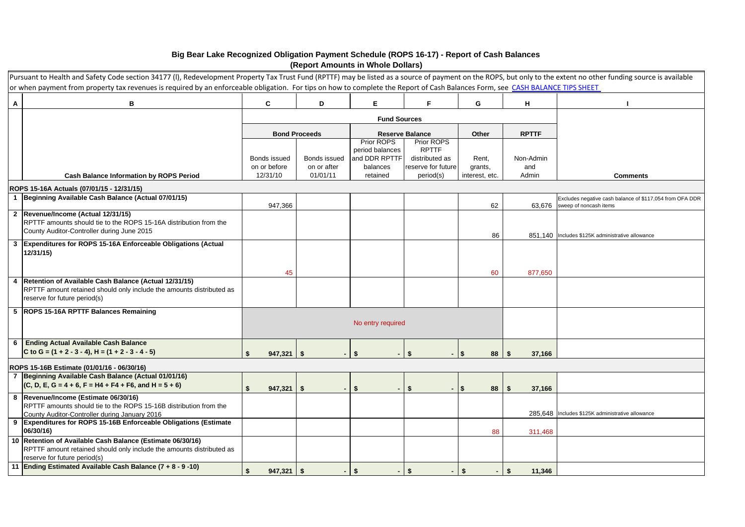## **Big Bear Lake Recognized Obligation Payment Schedule (ROPS 16-17) - Report of Cash Balances (Report Amounts in Whole Dollars)**

|                | Pursuant to Health and Safety Code section 34177 (I), Redevelopment Property Tax Trust Fund (RPTTF) may be listed as a source of payment on the ROPS, but only to the extent no other funding source is available<br>or when payment from property tax revenues is required by an enforceable obligation. For tips on how to complete the Report of Cash Balances Form, see CASH BALANCE TIPS SHEET |    |                              |                         |        |                               |                                      |                           |                  |                                                                                    |
|----------------|-----------------------------------------------------------------------------------------------------------------------------------------------------------------------------------------------------------------------------------------------------------------------------------------------------------------------------------------------------------------------------------------------------|----|------------------------------|-------------------------|--------|-------------------------------|--------------------------------------|---------------------------|------------------|------------------------------------------------------------------------------------|
| Α              | в                                                                                                                                                                                                                                                                                                                                                                                                   |    | C                            | D                       |        | Е                             | F.                                   | G                         | н                |                                                                                    |
|                |                                                                                                                                                                                                                                                                                                                                                                                                     |    |                              |                         |        | <b>Fund Sources</b>           |                                      |                           |                  |                                                                                    |
|                |                                                                                                                                                                                                                                                                                                                                                                                                     |    |                              | <b>Bond Proceeds</b>    |        |                               | <b>Reserve Balance</b>               | Other                     | <b>RPTTF</b>     |                                                                                    |
|                |                                                                                                                                                                                                                                                                                                                                                                                                     |    |                              |                         |        | Prior ROPS<br>period balances | Prior ROPS<br><b>RPTTF</b>           |                           |                  |                                                                                    |
|                |                                                                                                                                                                                                                                                                                                                                                                                                     |    | Bonds issued<br>Bonds issued |                         |        | and DDR RPTTF<br>balances     | distributed as<br>reserve for future | Rent,                     | Non-Admin<br>and |                                                                                    |
|                | <b>Cash Balance Information by ROPS Period</b>                                                                                                                                                                                                                                                                                                                                                      |    | on or before<br>12/31/10     | on or after<br>01/01/11 |        | retained                      | period(s)                            | grants,<br>interest, etc. | Admin            | <b>Comments</b>                                                                    |
|                | ROPS 15-16A Actuals (07/01/15 - 12/31/15)                                                                                                                                                                                                                                                                                                                                                           |    |                              |                         |        |                               |                                      |                           |                  |                                                                                    |
| $\mathbf{1}$   | Beginning Available Cash Balance (Actual 07/01/15)                                                                                                                                                                                                                                                                                                                                                  |    | 947,366                      |                         |        |                               |                                      | 62                        | 63,676           | Excludes negative cash balance of \$117,054 from OFA DDR<br>sweep of noncash items |
|                | 2 Revenue/Income (Actual 12/31/15)                                                                                                                                                                                                                                                                                                                                                                  |    |                              |                         |        |                               |                                      |                           |                  |                                                                                    |
|                | RPTTF amounts should tie to the ROPS 15-16A distribution from the<br>County Auditor-Controller during June 2015                                                                                                                                                                                                                                                                                     |    |                              |                         |        |                               |                                      |                           |                  |                                                                                    |
|                | 3 Expenditures for ROPS 15-16A Enforceable Obligations (Actual                                                                                                                                                                                                                                                                                                                                      |    |                              |                         |        |                               |                                      | 86                        |                  | 851.140 Includes \$125K administrative allowance                                   |
|                | 12/31/15)                                                                                                                                                                                                                                                                                                                                                                                           |    |                              |                         |        |                               |                                      |                           |                  |                                                                                    |
|                |                                                                                                                                                                                                                                                                                                                                                                                                     |    | 45                           |                         |        |                               |                                      | 60                        | 877,650          |                                                                                    |
| 4              | Retention of Available Cash Balance (Actual 12/31/15)<br>RPTTF amount retained should only include the amounts distributed as                                                                                                                                                                                                                                                                       |    |                              |                         |        |                               |                                      |                           |                  |                                                                                    |
|                | reserve for future period(s)                                                                                                                                                                                                                                                                                                                                                                        |    |                              |                         |        |                               |                                      |                           |                  |                                                                                    |
|                | 5 ROPS 15-16A RPTTF Balances Remaining                                                                                                                                                                                                                                                                                                                                                              |    |                              |                         |        |                               |                                      |                           |                  |                                                                                    |
|                |                                                                                                                                                                                                                                                                                                                                                                                                     |    |                              |                         |        | No entry required             |                                      |                           |                  |                                                                                    |
| 6              | <b>Ending Actual Available Cash Balance</b>                                                                                                                                                                                                                                                                                                                                                         |    |                              |                         |        |                               |                                      |                           |                  |                                                                                    |
|                | C to G = $(1 + 2 - 3 - 4)$ , H = $(1 + 2 - 3 - 4 - 5)$                                                                                                                                                                                                                                                                                                                                              | \$ | $947,321$ \$                 |                         |        | \$                            | \$                                   | $\mathbf{\hat{S}}$<br>88  | 37,166<br>Ŝ.     |                                                                                    |
| $\overline{7}$ | ROPS 15-16B Estimate (01/01/16 - 06/30/16)<br>Beginning Available Cash Balance (Actual 01/01/16)                                                                                                                                                                                                                                                                                                    |    |                              |                         |        |                               |                                      |                           |                  |                                                                                    |
|                | $(C, D, E, G = 4 + 6, F = H4 + F4 + F6, and H = 5 + 6)$                                                                                                                                                                                                                                                                                                                                             | \$ | $947,321$ \$                 |                         |        | \$                            | \$                                   | \$<br>88                  | \$<br>37,166     |                                                                                    |
|                | 8  Revenue/Income (Estimate 06/30/16)                                                                                                                                                                                                                                                                                                                                                               |    |                              |                         |        |                               |                                      |                           |                  |                                                                                    |
|                | RPTTF amounts should tie to the ROPS 15-16B distribution from the<br>County Auditor-Controller during January 2016                                                                                                                                                                                                                                                                                  |    |                              |                         |        |                               |                                      |                           |                  | 285.648 Includes \$125K administrative allowance                                   |
|                | 9 Expenditures for ROPS 15-16B Enforceable Obligations (Estimate<br>06/30/16)                                                                                                                                                                                                                                                                                                                       |    |                              |                         |        |                               |                                      | 88                        | 311,468          |                                                                                    |
|                | 10 Retention of Available Cash Balance (Estimate 06/30/16)                                                                                                                                                                                                                                                                                                                                          |    |                              |                         |        |                               |                                      |                           |                  |                                                                                    |
|                | RPTTF amount retained should only include the amounts distributed as<br>reserve for future period(s)                                                                                                                                                                                                                                                                                                |    |                              |                         |        |                               |                                      |                           |                  |                                                                                    |
|                | 11 Ending Estimated Available Cash Balance (7 + 8 - 9 -10)                                                                                                                                                                                                                                                                                                                                          | \$ | $947,321$ \$                 |                         | $\sim$ | \$<br>$\sim$ 1                | \$<br>$\sim$                         | - \$<br>$\sim$            | \$<br>11,346     |                                                                                    |